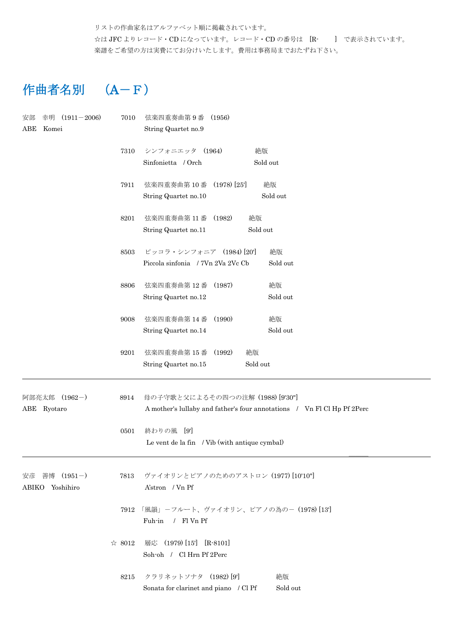リストの作曲家名はアルファベット順に掲載されています。 ☆は JFC よりレコード・CD になっています。レコード・CD の番号は [R- ] で表示されています。 楽譜をご希望の方は実費にてお分けいたします。費用は事務局までおたずね下さい。

## 作曲者名別 (A-F)

| $(1911 - 2006)$<br>安部<br>幸明 | 7010   | 弦楽四重奏曲第9番<br>(1956)                           |                                                                         |  |
|-----------------------------|--------|-----------------------------------------------|-------------------------------------------------------------------------|--|
| ABE<br>Komei                |        | String Quartet no.9                           |                                                                         |  |
|                             | 7310   | シンフォニエッタ (1964)                               | 絶版                                                                      |  |
|                             |        | Sinfonietta / Orch                            | Sold out                                                                |  |
|                             | 7911   | 弦楽四重奏曲第10番 (1978) [25]                        | 絶版                                                                      |  |
|                             |        | String Quartet no.10                          | Sold out                                                                |  |
|                             | 8201   | 弦楽四重奏曲第11番 (1982)                             | 絶版                                                                      |  |
|                             |        | String Quartet no.11                          | Sold out                                                                |  |
|                             | 8503   | ピッコラ・シンフォニア (1984) [20]                       | 絶版                                                                      |  |
|                             |        | Piccola sinfonia / 7Vn 2Va 2Vc Cb             | Sold out                                                                |  |
|                             | 8806   | 弦楽四重奏曲第12番<br>(1987)                          | 絶版                                                                      |  |
|                             |        | String Quartet no.12                          | Sold out                                                                |  |
|                             | 9008   | 弦楽四重奏曲第14番<br>(1990)                          | 絶版                                                                      |  |
|                             |        | String Quartet no.14                          | Sold out                                                                |  |
|                             | 9201   | 弦楽四重奏曲第15番<br>(1992)                          | 絶版                                                                      |  |
|                             |        | String Quartet no.15                          | Sold out                                                                |  |
| 阿部亮太郎 (1962-)               | 8914   | 母の子守歌と父によるその四つの注解 (1988) [9'30"]              |                                                                         |  |
| ABE Ryotaro                 |        |                                               | A mother's lullaby and father's four annotations / Vn Fl Cl Hp Pf 2Perc |  |
|                             | 0501   | 終わりの風 [9]                                     |                                                                         |  |
|                             |        | Le vent de la fin / Vib (with antique cymbal) |                                                                         |  |
| $(1951 - )$<br>善博<br>安彦     | 7813   | ヴァイオリンとピアノのためのアストロン (1977) [10'10"]           |                                                                         |  |
| ABIKO Yoshihiro             |        | A'stron / Vn Pf                               |                                                                         |  |
|                             | 7912   |                                               | 「風韻」-フルート、ヴァイオリン、ピアノの為の- (1978) [13']                                   |  |
|                             |        | / Fl Vn Pf<br>Fuh-in                          |                                                                         |  |
|                             | ☆ 8012 | 層応 (1979) [15'] [R-8101]                      |                                                                         |  |
|                             |        | Soh-oh / Cl Hrn Pf 2Perc                      |                                                                         |  |
|                             | 8215   | クラリネットソナタ (1982) [9]                          | 絶版                                                                      |  |
|                             |        | Sonata for clarinet and piano / Cl Pf         | Sold out                                                                |  |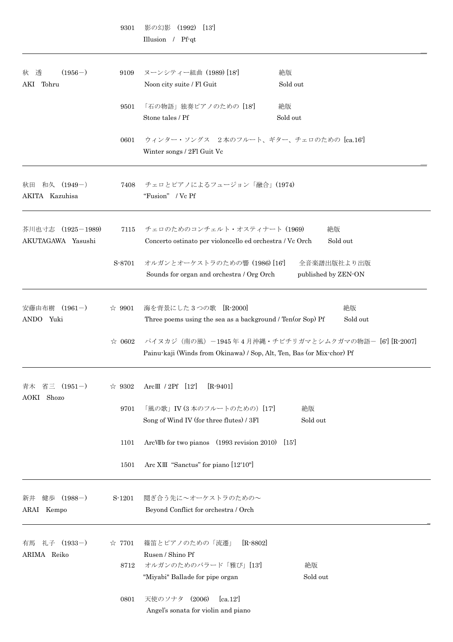|                                        | 9301           | 影の幻影<br>(1992)<br>$\left[13\right]$<br>Illusion / Pf-qt                                                                        |                                    |
|----------------------------------------|----------------|--------------------------------------------------------------------------------------------------------------------------------|------------------------------------|
| $(1956-)$<br>透<br>秋<br>AKI Tohru       | 9109           | ヌーンシティー組曲 (1989) [18]<br>絶版<br>Noon city suite / Fl Guit<br>Sold out                                                           |                                    |
|                                        | 9501           | 「石の物語」独奏ピアノのための [18]<br>絶版<br>Stone tales / Pf<br>Sold out                                                                     |                                    |
|                                        | 0601           | ウィンター・ソングス 2本のフルート、ギター、チェロのための [ca.16']<br>Winter songs / 2Fl Guit Vc                                                          |                                    |
| 和久 (1949-)<br>秋田<br>AKITA Kazuhisa     | 7408           | チェロとピアノによるフュージョン「融合」(1974)<br>"Fusion" / Vc Pf                                                                                 |                                    |
| 芥川也寸志 (1925-1989)<br>AKUTAGAWA Yasushi | 7115           | チェロのためのコンチェルト・オスティナート (1969)<br>Concerto ostinato per violoncello ed orchestra / Vc Orch                                       | 絶版<br>Sold out                     |
|                                        | S-8701         | オルガンとオーケストラのための響 (1986) [16]<br>Sounds for organ and orchestra / Org Orch                                                      | 全音楽譜出版社より出版<br>published by ZEN-ON |
| $(1961-)$<br>安藤由布樹<br>ANDO Yuki        | $\approx 9901$ | 海を背景にした3つの歌 [R-2000]<br>Three poems using the sea as a background / Ten(or Sop) Pf                                             | 絶版<br>Sold out                     |
|                                        | $\approx 0602$ | パイヌカジ (南の風) -1945年4月沖縄・チビチリガマとシムクガマの物語- [6'] [R-2007]<br>Painu-kaji (Winds from Okinawa) / Sop, Alt, Ten, Bas (or Mix-chor) Pf |                                    |
| 省三<br>$(1951-)$<br>青木<br>AOKI Shozo    | $\approx 9302$ | Arc $\text{I} \parallel$ / 2Pf [12]<br>$[R-9401]$                                                                              |                                    |
|                                        | 9701           | 「風の歌」IV (3本のフルートのための) [17]<br>Song of Wind IV (for three flutes) / 3Fl                                                         | 絶版<br>Sold out                     |
|                                        | 1101           | ArcVIIb for two pianos (1993 revision 2010) [15]                                                                               |                                    |
|                                        | 1501           | Arc XIII "Sanctus" for piano [12'10"]                                                                                          |                                    |
| 健歩 (1988-)<br>新井<br>ARAI Kempo         | S-1201         | 鬩ぎ合う先に~オーケストラのための~<br>Beyond Conflict for orchestra / Orch                                                                     |                                    |
| 礼子 (1933-)<br>有馬<br>ARIMA Reiko        | $\approx 7701$ | 篠笛とピアノのための「流遷」<br>$[R - 8802]$<br>Rusen / Shino Pf                                                                             |                                    |
|                                        | 8712           | オルガンのためのバラード「雅び」[13]<br>"Miyabi" Ballade for pipe organ                                                                        | 絶版<br>Sold out                     |
|                                        | 0801           | (2006)<br>[ca.12]<br>天使のソナタ<br>Angel's sonata for violin and piano                                                             |                                    |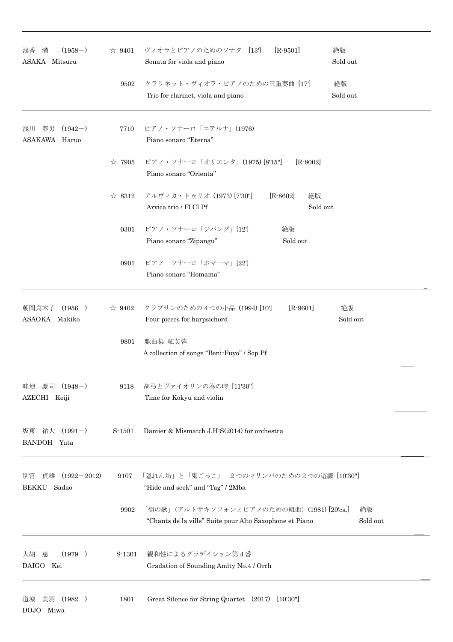| $(1958-)$<br>浅香 満<br>ASAKA Mitsuru                   |                | ☆ 9401 ヴィオラとピアノのためのソナタ [13']<br>$[R-9501]$<br>Sonata for viola and piano                              | 絶版<br>Sold out |  |
|------------------------------------------------------|----------------|-------------------------------------------------------------------------------------------------------|----------------|--|
|                                                      | 9502           | クラリネット・ヴィオラ・ピアノのための三重奏曲 [17]<br>Trio for clarinet, viola and piano                                    | 絶版<br>Sold out |  |
| 浅川 春男 (1942-)<br>ASAKAWA Haruo                       | 7710           | ピアノ・ソナーロ「エテルナ」(1976)<br>Piano sonaro "Eterna"                                                         |                |  |
|                                                      | ☆ 7905         | ピアノ・ソナーロ「オリエンタ」(1975) [8'15"]<br>$[R-8002]$<br>Piano sonaro "Orienta"                                 |                |  |
|                                                      | $\approx$ 8312 | アルヴィカ・トゥリオ (1973) [7'30"]<br>$[R - 8602]$<br>絶版<br>Arvica trio / Fl Cl Pf<br>Sold out                 |                |  |
|                                                      | 0301           | ピアノ・ソナーロ「ジパング」[12]<br>絶版<br>Piano sonaro "Zipangu"<br>Sold out                                        |                |  |
|                                                      | 0901           | ピアノ ソナーロ「ホマーマ」[22]<br>Piano sonaro "Homama"                                                           |                |  |
| 朝岡真木子 (1956-)<br>ASAOKA Makiko                       |                | ☆ 9402 クラブサンのための4つの小品 (1994) [10]<br>$[R-9601]$<br>Four pieces for harpsichord                        | 絶版<br>Sold out |  |
|                                                      | 9801           | 歌曲集 紅芙蓉<br>A collection of songs "Beni-Fuyo" / Sop Pf                                                 |                |  |
| 慶司 (1948-)<br>畦地<br>AZECHI Keiji                     | 9118           | 胡弓とヴァイオリンの為の時 [11'30"]<br>Time for Kokyu and violin                                                   |                |  |
| 祐大 (1991-)<br>坂東<br>BANDOH Yuta                      | S-1501         | Damier & Mismatch J.H.S(2014) for orchestra                                                           |                |  |
| $(1922 - 2012)$<br>別宮<br>貞雄<br>Sadao<br><b>BEKKU</b> | 9107           | 「隠れん坊」と「鬼ごっこ」 2つのマリンバのための2つの遊戯 [10'30"]<br>"Hide and seek" and "Tag" / 2Mba                           |                |  |
|                                                      | 9902           | 「街の歌」(アルトサキソフォンとピアノのための組曲) (1981) [20'ca.]<br>"Chants de la ville" Suite pour Alto Saxophone et Piano | 絶版<br>Sold out |  |
| $(1979-)$<br>大胡 恵<br>DAIGO Kei                       | S-1301         | 親和性によるグラデイション第4番<br>Gradation of Sounding Amity No.4 / Orch                                           |                |  |
| 道城 美羽 (1982-)<br>DOJO Miwa                           | 1801           | Great Silence for String Quartet (2017) [10'30"]                                                      |                |  |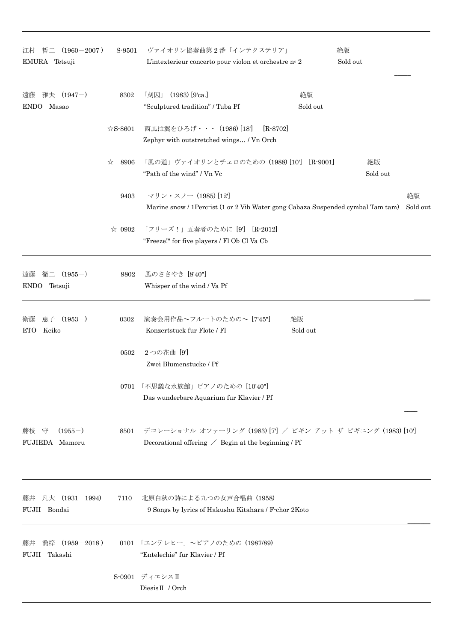| 江村 哲二 (1960-2007)<br>EMURA Tetsuji           |                | S-9501 ヴァイオリン協奏曲第2番「インテクステリア」<br>L'intexterieur concerto pour violon et orchestre n° 2                                  |                | 絶版<br>Sold out |  |
|----------------------------------------------|----------------|-------------------------------------------------------------------------------------------------------------------------|----------------|----------------|--|
| 雅夫 (1947-)<br>遠藤<br>Masao<br><b>ENDO</b>     | 8302           | $(1983)$ [9'ca.]<br>「刻因」<br>"Sculptured tradition" / Tuba Pf                                                            | 絶版<br>Sold out |                |  |
|                                              | $\&$ S-8601    | 西風は翼をひろげ・・・ (1986) [18]<br>$[R-8702]$<br>Zephyr with outstretched wings / Vn Orch                                       |                |                |  |
|                                              | ☆<br>8906      | 「風の道」ヴァイオリンとチェロのための (1988) [10'] [R-9001]<br>"Path of the wind" / Vn Vc                                                 |                | 絶版<br>Sold out |  |
|                                              | 9403           | マリン・スノー (1985) [12]<br>Marine snow / 1Perc ist (1 or 2 Vib Water gong Cabaza Suspended cymbal Tam tam)                  |                | 絶版<br>Sold out |  |
|                                              | $\approx 0902$ | 「フリーズ!」五奏者のために [9'] [R-2012]<br>"Freeze!" for five players / Fl Ob Cl Va Cb                                             |                |                |  |
| 徹二 (1955-)<br>遠藤<br>ENDO Tetsuji             | 9802           | 風のささやき [8'40"]<br>Whisper of the wind / Va Pf                                                                           |                |                |  |
| 恵子 (1953-)<br>衛藤<br>Keiko<br>ETO             |                | 絶版<br>0302 演奏会用作品~フルートのための~ [7'45"]<br>Konzertstuck fur Flote / Fl                                                      | Sold out       |                |  |
|                                              | 0502           | 2つの花曲 [9]<br>Zwei Blumenstucke / Pf                                                                                     |                |                |  |
|                                              | 0701           | 「不思議な水族館」ピアノのための [10'40"]<br>Das wunderbare Aquarium fur Klavier / Pf                                                   |                |                |  |
| $(1955-)$<br>守<br>藤枝<br>FUJIEDA Mamoru       | 8501           | デコレーショナル オファーリング (1983) [7] / ビギン アット ザ ビギニング (1983) [10]<br>Decorational offering $\angle$ Begin at the beginning / Pf |                |                |  |
| 凡大 (1931-1994)<br>藤井<br>FUJII Bondai         | 7110           | 北原白秋の詩による九つの女声合唱曲 (1958)<br>9 Songs by lyrics of Hakushu Kitahara / F-chor 2Koto                                        |                |                |  |
| $(1959 - 2018)$<br>喬梓<br>藤井<br>FUJII Takashi |                | 0101 「エンテレヒー」~ピアノのための (1987/89)<br>"Entelechie" fur Klavier / Pf                                                        |                |                |  |
|                                              | S-0901         | ディエシスⅡ<br>Diesis II / Orch                                                                                              |                |                |  |

\_\_\_